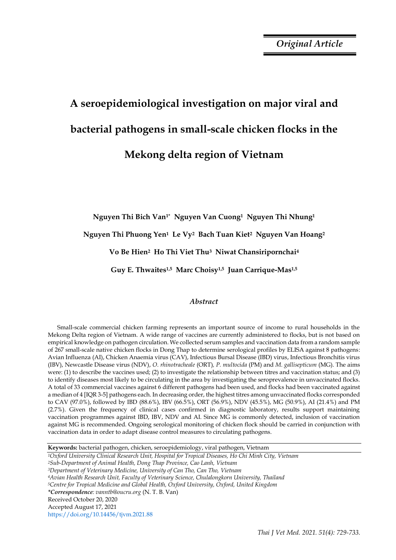*Original Article*

# **A seroepidemiological investigation on major viral and bacterial pathogens in small-scale chicken flocks in the Mekong delta region of Vietnam**

**Nguyen Thi Bich Van1\* Nguyen Van Cuong1 Nguyen Thi Nhung<sup>1</sup>** 

**Nguyen Thi Phuong Yen1 Le Vy2 Bach Tuan Kiet2 Nguyen Van Hoang<sup>2</sup>** 

**Vo Be Hien2 Ho Thi Viet Thu3 Niwat Chansiripornchai<sup>4</sup>** 

**Guy E. Thwaites1,5 Marc Choisy1,5 Juan Carrique-Mas1,5**

## *Abstract*

Small-scale commercial chicken farming represents an important source of income to rural households in the Mekong Delta region of Vietnam. A wide range of vaccines are currently administered to flocks, but is not based on empirical knowledge on pathogen circulation. We collected serum samples and vaccination data from a random sample of 267 small-scale native chicken flocks in Dong Thap to determine serological profiles by ELISA against 8 pathogens: Avian Influenza (AI), Chicken Anaemia virus (CAV), Infectious Bursal Disease (IBD) virus, Infectious Bronchitis virus (IBV), Newcastle Disease virus (NDV), *O. rhinotracheale* (ORT)*, P. multocida* (PM) and *M. gallisepticum* (MG). The aims were: (1) to describe the vaccines used; (2) to investigate the relationship between titres and vaccination status; and (3) to identify diseases most likely to be circulating in the area by investigating the seroprevalence in unvaccinated flocks. A total of 33 commercial vaccines against 6 different pathogens had been used, and flocks had been vaccinated against a median of 4 [IQR 3-5] pathogens each. In decreasing order, the highest titres among unvaccinated flocks corresponded to CAV (97.0%), followed by IBD (88.6%), IBV (66.5%), ORT (56.9%), NDV (45.5%), MG (50.9%), AI (21.4%) and PM (2.7%). Given the frequency of clinical cases confirmed in diagnostic laboratory, results support maintaining vaccination programmes against IBD, IBV, NDV and AI. Since MG is commonly detected, inclusion of vaccination against MG is recommended. Ongoing serological monitoring of chicken flock should be carried in conjunction with vaccination data in order to adapt disease control measures to circulating pathogens.

**Keywords:** bacterial pathogen, chicken, seroepidemiology, viral pathogen, Vietnam

*<sup>1</sup>Oxford University Clinical Research Unit, Hospital for Tropical Diseases, Ho Chi Minh City, Vietnam <sup>2</sup>Sub-Department of Animal Health, Dong Thap Province, Cao Lanh, Vietnam <sup>3</sup>Department of Veterinary Medicine, University of Can Tho, Can Tho, Vietnam <sup>4</sup>Avian Health Research Unit, Faculty of Veterinary Science, Chulalongkorn University, Thailand <sup>5</sup>Centre for Tropical Medicine and Global Health, Oxford University, Oxford, United Kingdom \*Correspondence: vanntb@oucru.org* (N. T. B. Van) Received October 20, 2020 Accepted August 17, 2021 https://doi.org/10.14456/tjvm.2021.88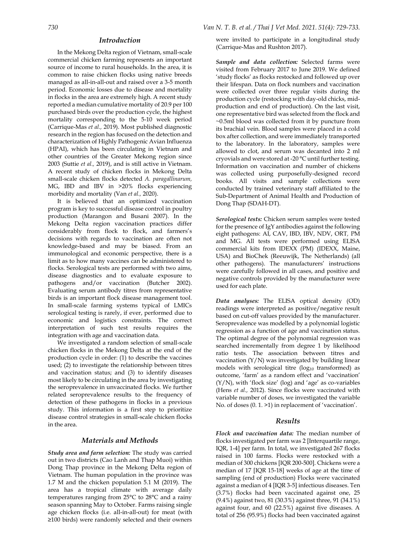#### *Introduction*

In the Mekong Delta region of Vietnam, small-scale commercial chicken farming represents an important source of income to rural households. In the area, it is common to raise chicken flocks using native breeds managed as all-in-all-out and raised over a 3-5 month period. Economic losses due to disease and mortality in flocks in the area are extremely high. A recent study reported a median cumulative mortality of 20.9 per 100 purchased birds over the production cycle, the highest mortality corresponding to the 5-10 week period (Carrique-Mas *et al.,* 2019). Most published diagnostic research in the region has focused on the detection and characterization of Highly Pathogenic Avian Influenza (HPAI), which has been circulating in Vietnam and other countries of the Greater Mekong region since 2003 (Suttie *et al.,* 2019), and is still active in Vietnam. A recent study of chicken flocks in Mekong Delta small-scale chicken flocks detected *A. paragallinarum,* MG, IBD and IBV in >20% flocks experiencing morbidity and mortality (Van *et al.,* 2020).

It is believed that an optimized vaccination program is key to successful disease control in poultry production (Marangon and Busani 2007). In the Mekong Delta region vaccination practices differ considerably from flock to flock, and farmers's decisions with regards to vaccination are often not knowledge-based and may be biased. From an immunological and economic perspective, there is a limit as to how many vaccines can be administered to flocks. Serological tests are performed with two aims, disease diagnostics and to evaluate exposure to pathogens and/or vaccination (Butcher 2002). Evaluating serum antibody titres from representative birds is an important flock disease management tool. In small-scale farming systems typical of LMICs serological testing is rarely, if ever, performed due to economic and logistics constraints. The correct interpretation of such test results requires the integration with age and vaccination data.

We investigated a random selection of small-scale chicken flocks in the Mekong Delta at the end of the production cycle in order: (1) to describe the vaccines used; (2) to investigate the relationship between titres and vaccination status; and (3) to identify diseases most likely to be circulating in the area by investigating the seroprevalence in unvaccinated flocks. We further related seroprevalence results to the frequency of detection of these pathogens in flocks in a previous study. This information is a first step to prioritize disease control strategies in small-scale chicken flocks in the area.

### *Materials and Methods*

*Study area and farm selection:* The study was carried out in two districts (Cao Lanh and Thap Muoi) within Dong Thap province in the Mekong Delta region of Vietnam. The human population in the province was 1.7 M and the chicken population 5.1 M (2019). The area has a tropical climate with average daily temperatures ranging from 25°C to 28°C and a rainy season spanning May to October. Farms raising single age chicken flocks (i.e. all-in-all-out) for meat (with ≥100 birds) were randomly selected and their owners were invited to participate in a longitudinal study (Carrique-Mas and Rushton 2017).

*Sample and data collection:* Selected farms were visited from February 2017 to June 2019. We defined 'study flocks' as flocks restocked and followed up over their lifespan. Data on flock numbers and vaccination were collected over three regular visits during the production cycle (restocking with day-old chicks, midproduction and end of production). On the last visit, one representative bird was selected from the flock and ~0.5ml blood was collected from it by puncture from its brachial vein. Blood samples were placed in a cold box after collection, and were immediately transported to the laboratory. In the laboratory, samples were allowed to clot, and serum was decanted into 2 ml cryovials and were stored at -20 °C until further testing. Information on vaccination and number of chickens was collected using purposefully-designed record books. All visits and sample collections were conducted by trained veterinary staff affiliated to the Sub-Department of Animal Health and Production of Dong Thap (SDAH-DT).

*Serological tests:* Chicken serum samples were tested for the presence of IgY antibodies against the following eight pathogens: AI, CAV, IBD, IBV, NDV, ORT*,* PM and MG. All tests were performed using ELISA commercial kits from IDEXX (PM) (IDEXX, Maine, USA) and BioChek (Reeuwijk, The Netherlands) (all other pathogens). The manufacturers' instructions were carefully followed in all cases, and positive and negative controls provided by the manufacturer were used for each plate.

*Data analyses:* The ELISA optical density (OD) readings were interpreted as positive/negative result based on cut-off values provided by the manufacturer. Seroprevalence was modelled by a polynomial logistic regression as a function of age and vaccination status. The optimal degree of the polynomial regression was searched incrementally from degree 1 by likelihood ratio tests. The association between titres and vaccination (Y/N) was investigated by building linear models with serological titre ( $log_{10}$  transformed) as outcome, 'farm' as a random effect and 'vaccination' (Y/N), with 'flock size' (log) and 'age' as co-variables (Hens *et al.,* 2012). Since flocks were vaccinated with variable number of doses, we investigated the variable No. of doses (0. 1. >1) in replacement of 'vaccination'.

#### *Results*

*Flock and vaccination data:* The median number of flocks investigated per farm was 2 [Interquartile range, IQR, 1-4] per farm. In total, we investigated 267 flocks raised in 100 farms. Flocks were restocked with a median of 300 chickens [IQR 200-500]. Chickens were a median of 17 [IQR 15-18] weeks of age at the time of sampling (end of production) Flocks were vaccinated against a median of 4 [IQR 3-5] infectious diseases. Ten (3.7%) flocks had been vaccinated against one, 25 (9.4%) against two, 81 (30.3%) against three, 91 (34.1%) against four, and 60 (22.5%) against five diseases. A total of 256 (95.9%) flocks had been vaccinated against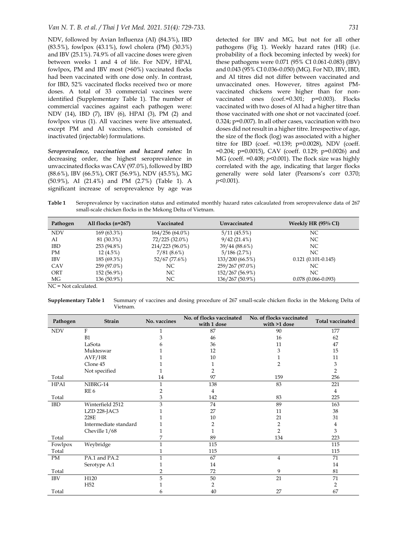NDV, followed by Avian Influenza (AI) (84.3%), IBD (83.5%), fowlpox (43.1%), fowl cholera (PM) (30.3%) and IBV (25.1%). 74.9% of all vaccine doses were given between weeks 1 and 4 of life. For NDV, HPAI, fowlpox, PM and IBV most (>60%) vaccinated flocks had been vaccinated with one dose only. In contrast, for IBD, 52% vaccinated flocks received two or more doses. A total of 33 commercial vaccines were identified (Supplementary Table 1). The number of commercial vaccines against each pathogen were: NDV (14), IBD (7), IBV (6), HPAI (3), PM (2) and fowlpox virus (1). All vaccines were live attenuated, except PM and AI vaccines, which consisted of inactivated (injectable) formulations.

*Seroprevalence, vaccination and hazard rates:* In decreasing order, the highest seroprevalence in unvaccinated flocks was CAV (97.0%), followed by IBD (88.6%), IBV (66.5%), ORT (56.9%), NDV (45.5%), MG (50.9%), AI (21.4%) and PM (2.7%) (Table 1). A significant increase of seroprevalence by age was

detected for IBV and MG, but not for all other pathogens (Fig 1). Weekly hazard rates (HR) (i.e. probability of a flock becoming infected by week) for these pathogens were 0.071 (95% CI 0.061-0.083) (IBV) and 0.043 (95% CI 0.036-0.050) (MG). For ND, IBV, IBD, and AI titres did not differ between vaccinated and unvaccinated ones. However, titres against PMvaccinated chickens were higher than for nonvaccinated ones (coef.=0.301; p=0.003). Flocks vaccinated with two doses of AI had a higher titre than those vaccinated with one shot or not vaccinated (coef. 0.324; p=0.007). In all other cases, vaccination with two doses did not result in a higher titre. Irrespective of age, the size of the flock (log) was associated with a higher titre for IBD (coef. =0.139; p=0.0028), NDV (coeff. =0.204; p=0.0015), CAV (coeff. 0.129; p=0.0026) and MG (coeff. =0.408; *p*<0.001). The flock size was highly correlated with the age, indicating that larger flocks generally were sold later (Pearsons's corr 0.370; *p*<0.001).

**Table 1** Seroprevalence by vaccination status and estimated monthly hazard rates calcaulated from seroprevalence data of 267 small-scale chicken flocks in the Mekong Delta of Vietnam.

NC = Not calculated.

**Supplementary Table 1** Summary of vaccines and dosing procedure of 267 small-scale chicken flocks in the Mekong Delta of Vietnam.

| Pathogen    | <b>Strain</b>         | No. vaccines | No. of flocks vaccinated<br>with 1 dose | No. of flocks vaccinated<br>with >1 dose | <b>Total vaccinated</b> |
|-------------|-----------------------|--------------|-----------------------------------------|------------------------------------------|-------------------------|
| <b>NDV</b>  | F                     |              | 87                                      | 90                                       | 177                     |
|             | B1                    | 3            | 46                                      | 16                                       | 62                      |
|             | LaSota                |              | 36                                      | 11                                       | 47                      |
|             | Mukteswar             |              | 12                                      | 3                                        | 15                      |
|             | AVF/HR                |              | 10                                      |                                          | 11                      |
|             | Clone 45              |              |                                         | 2                                        | 3                       |
|             | Not specified         |              | 2                                       |                                          | 2                       |
| Total       |                       | 14           | 97                                      | 159                                      | 256                     |
| <b>HPAI</b> | NIBRG-14              |              | 138                                     | 83                                       | 221                     |
|             | RE <sub>6</sub>       | 2            | 4                                       |                                          | 4                       |
| Total       |                       | 3            | 142                                     | 83                                       | 225                     |
| IBD         | Winterfield 2512      | 3            | 74                                      | 89                                       | 163                     |
|             | LZD 228-JAC3          |              | 27                                      | 11                                       | 38                      |
|             | 228E                  |              | 10                                      | 21                                       | 31                      |
|             | Intermediate standard |              | 2                                       | 2                                        | 4                       |
|             | Cheville 1/68         |              |                                         | 2                                        | 3                       |
| Total       |                       |              | 89                                      | 134                                      | 223                     |
| Fowlpox     | Weybridge             | $\mathbf{1}$ | 115                                     |                                          | 115                     |
| Total       |                       |              | 115                                     |                                          | 115                     |
| PM          | PA.1 and PA.2         |              | 67                                      | $\overline{4}$                           | 71                      |
|             | Serotype A:1          |              | 14                                      |                                          | 14                      |
| Total       |                       | 2            | 72                                      | 9                                        | 81                      |
| <b>IBV</b>  | H120                  | 5            | 50                                      | 21                                       | 71                      |
|             | H <sub>52</sub>       |              | 2                                       |                                          | 2                       |
| Total       |                       | 6            | 40                                      | 27                                       | 67                      |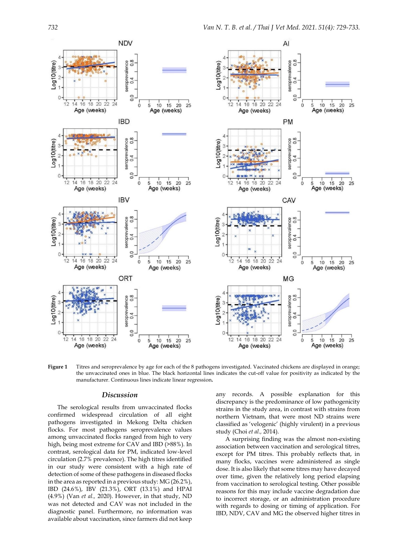

**Figure 1** Titres and seroprevalence by age for each of the 8 pathogens investigated. Vaccinated chickens are displayed in orange; the unvaccinated ones in blue. The black horizontal lines indicates the cut-off value for positivity as indicated by the manufacturer. Continuous lines indicate linear regression**.**

#### *Discussion*

The serological results from unvaccinated flocks confirmed widespread circulation of all eight pathogens investigated in Mekong Delta chicken flocks. For most pathogens seroprevalence values among unvaccinated flocks ranged from high to very high, being most extreme for CAV and IBD (>88%). In contrast, serological data for PM, indicated low-level circulation (2.7% prevalence). The high titres identified in our study were consistent with a high rate of detection of some of these pathogens in diseased flocks in the area as reported in a previous study: MG (26.2%), IBD (24.6%), IBV (21.3%), ORT (13.1%) and HPAI (4.9%) (Van *et al.,* 2020). However, in that study, ND was not detected and CAV was not included in the diagnostic panel. Furthermore, no information was available about vaccination, since farmers did not keep

any records. A possible explanation for this discrepancy is the predominance of low pathogenicity strains in the study area, in contrast with strains from northern Vietnam, that were most ND strains were classified as 'velogenic' (highly virulent) in a previous study (Choi *et al.,* 2014).

A surprising finding was the almost non-existing association between vaccination and serological titres, except for PM titres. This probably reflects that, in many flocks, vaccines were administered as single dose. It is also likely that some titres may have decayed over time, given the relatively long period elapsing from vaccination to serological testing. Other possible reasons for this may include vaccine degradation due to incorrect storage, or an administration procedure with regards to dosing or timing of application. For IBD, NDV, CAV and MG the observed higher titres in